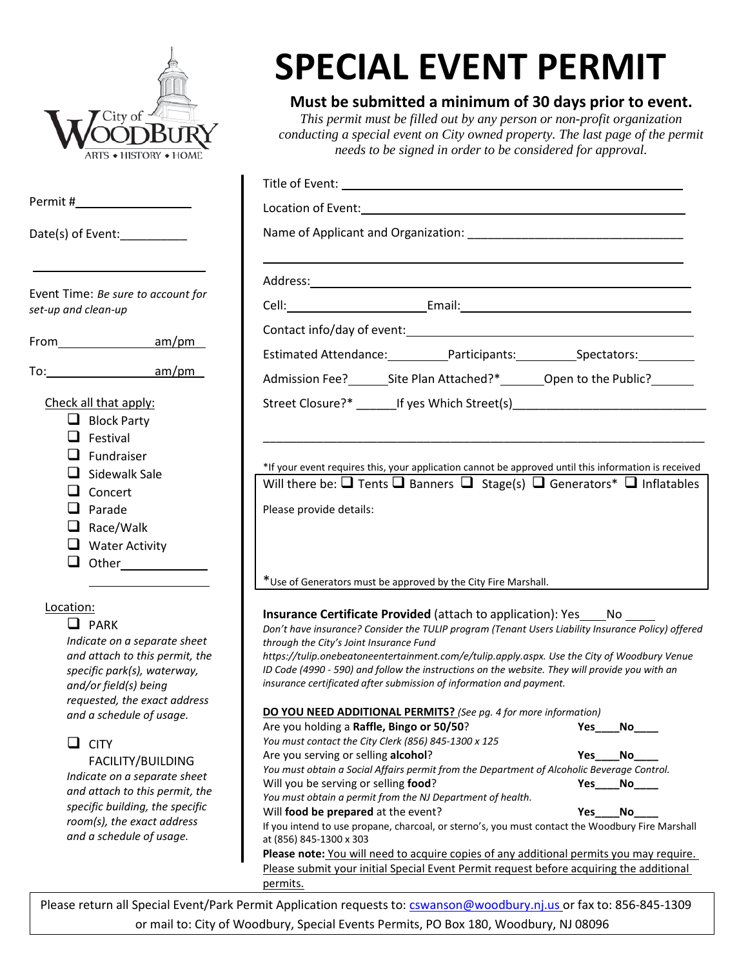| City of<br>ARTS ◆ HISTORY ◆ HOME                                                                                                                                                                                                                                                                                                                                                                                       | <b>SPECIAL EVENT PERMIT</b><br>Must be submitted a minimum of 30 days prior to event.<br>This permit must be filled out by any person or non-profit organization<br>conducting a special event on City owned property. The last page of the permit<br>needs to be signed in order to be considered for approval.                                                                                                                                                                                                                                                                                                                                                                                                                                                                                                                                                                                                                                                                                                                                                                                                                                                                                                                                                                                                                                  |  |  |  |
|------------------------------------------------------------------------------------------------------------------------------------------------------------------------------------------------------------------------------------------------------------------------------------------------------------------------------------------------------------------------------------------------------------------------|---------------------------------------------------------------------------------------------------------------------------------------------------------------------------------------------------------------------------------------------------------------------------------------------------------------------------------------------------------------------------------------------------------------------------------------------------------------------------------------------------------------------------------------------------------------------------------------------------------------------------------------------------------------------------------------------------------------------------------------------------------------------------------------------------------------------------------------------------------------------------------------------------------------------------------------------------------------------------------------------------------------------------------------------------------------------------------------------------------------------------------------------------------------------------------------------------------------------------------------------------------------------------------------------------------------------------------------------------|--|--|--|
|                                                                                                                                                                                                                                                                                                                                                                                                                        | Title of Event: <u>contract the contract of the contract of the contract of the contract of the contract of the contract of the contract of the contract of the contract of the contract of the contract of the contract of the </u>                                                                                                                                                                                                                                                                                                                                                                                                                                                                                                                                                                                                                                                                                                                                                                                                                                                                                                                                                                                                                                                                                                              |  |  |  |
|                                                                                                                                                                                                                                                                                                                                                                                                                        |                                                                                                                                                                                                                                                                                                                                                                                                                                                                                                                                                                                                                                                                                                                                                                                                                                                                                                                                                                                                                                                                                                                                                                                                                                                                                                                                                   |  |  |  |
| Date(s) of Event:___________                                                                                                                                                                                                                                                                                                                                                                                           | Name of Applicant and Organization: Name of Applicant and Organization:                                                                                                                                                                                                                                                                                                                                                                                                                                                                                                                                                                                                                                                                                                                                                                                                                                                                                                                                                                                                                                                                                                                                                                                                                                                                           |  |  |  |
|                                                                                                                                                                                                                                                                                                                                                                                                                        | Address: <u>Address:</u> Address: Address: Address: Address: Address: Address: Address: Address: Address: Address: Address: Address: Address: Address: Address: Address: Address: Address: Address: Address: Address: Address: Addr                                                                                                                                                                                                                                                                                                                                                                                                                                                                                                                                                                                                                                                                                                                                                                                                                                                                                                                                                                                                                                                                                                               |  |  |  |
| Event Time: Be sure to account for<br>set-up and clean-up                                                                                                                                                                                                                                                                                                                                                              |                                                                                                                                                                                                                                                                                                                                                                                                                                                                                                                                                                                                                                                                                                                                                                                                                                                                                                                                                                                                                                                                                                                                                                                                                                                                                                                                                   |  |  |  |
|                                                                                                                                                                                                                                                                                                                                                                                                                        |                                                                                                                                                                                                                                                                                                                                                                                                                                                                                                                                                                                                                                                                                                                                                                                                                                                                                                                                                                                                                                                                                                                                                                                                                                                                                                                                                   |  |  |  |
| From am/pm                                                                                                                                                                                                                                                                                                                                                                                                             | Estimated Attendance: __________Participants: __________________________________                                                                                                                                                                                                                                                                                                                                                                                                                                                                                                                                                                                                                                                                                                                                                                                                                                                                                                                                                                                                                                                                                                                                                                                                                                                                  |  |  |  |
|                                                                                                                                                                                                                                                                                                                                                                                                                        | Admission Fee?___________Site Plan Attached?*___________________________________                                                                                                                                                                                                                                                                                                                                                                                                                                                                                                                                                                                                                                                                                                                                                                                                                                                                                                                                                                                                                                                                                                                                                                                                                                                                  |  |  |  |
| Check all that apply:<br>$\Box$ Block Party<br>$\Box$ Festival<br>Fundraiser<br>Sidewalk Sale<br>Concert<br>Parade<br>Race/Walk<br><b>Water Activity</b><br>□<br>Other                                                                                                                                                                                                                                                 | Street Closure?* __________If yes Which Street(s)_______________________________<br>*If your event requires this, your application cannot be approved until this information is received<br>Will there be: $\Box$ Tents $\Box$ Banners $\Box$ Stage(s) $\Box$ Generators* $\Box$ Inflatables<br>Please provide details:<br>*Use of Generators must be approved by the City Fire Marshall.                                                                                                                                                                                                                                                                                                                                                                                                                                                                                                                                                                                                                                                                                                                                                                                                                                                                                                                                                         |  |  |  |
| Location:<br>$\Box$ PARK<br>Indicate on a separate sheet<br>and attach to this permit, the<br>specific park(s), waterway,<br>and/or field(s) being<br>requested, the exact address<br>and a schedule of usage.<br><b>CITY</b><br>ப<br>FACILITY/BUILDING<br>Indicate on a separate sheet<br>and attach to this permit, the<br>specific building, the specific<br>room(s), the exact address<br>and a schedule of usage. | <b>Insurance Certificate Provided</b> (attach to application): Yes No<br>Don't have insurance? Consider the TULIP program (Tenant Users Liability Insurance Policy) offered<br>through the City's Joint Insurance Fund<br>https://tulip.onebeatoneentertainment.com/e/tulip.apply.aspx. Use the City of Woodbury Venue<br>ID Code (4990 - 590) and follow the instructions on the website. They will provide you with an<br>insurance certificated after submission of information and payment.<br>DO YOU NEED ADDITIONAL PERMITS? (See pg. 4 for more information)<br>Are you holding a Raffle, Bingo or 50/50?<br>Yes<br>No.<br>You must contact the City Clerk (856) 845-1300 x 125<br>Are you serving or selling alcohol?<br>Yes<br>No.<br>You must obtain a Social Affairs permit from the Department of Alcoholic Beverage Control.<br>Will you be serving or selling food?<br>Yes<br>No<br>You must obtain a permit from the NJ Department of health.<br>Will food be prepared at the event?<br>No<br>Yes<br>If you intend to use propane, charcoal, or sterno's, you must contact the Woodbury Fire Marshall<br>at (856) 845-1300 x 303<br>Please note: You will need to acquire copies of any additional permits you may require.<br>Please submit your initial Special Event Permit request before acquiring the additional<br>permits. |  |  |  |

Please return all Special Event/Park Permit Application requests to: [cswanson@woodbury.nj.us](mailto:cswanson@woodbury.nj.us) or fax to: 856-845-1309 or mail to: City of Woodbury, Special Events Permits, PO Box 180, Woodbury, NJ 08096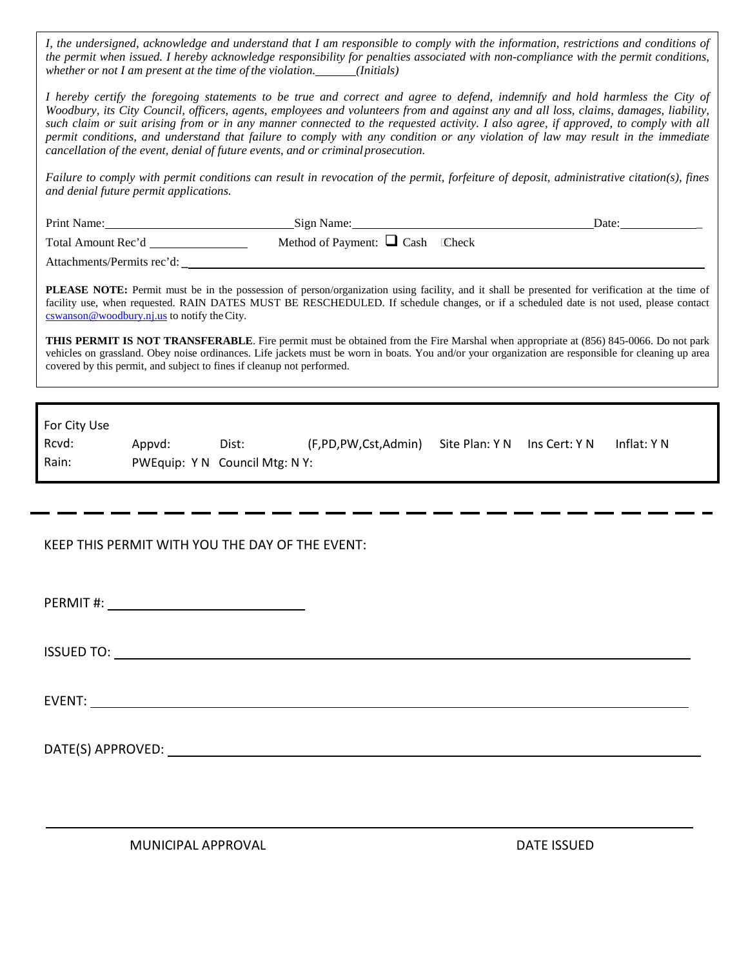*I, the undersigned, acknowledge and understand that I am responsible to comply with the information, restrictions and conditions of the permit when issued. I hereby acknowledge responsibility for penalties associated with non-compliance with the permit conditions, whether or not I am present at the time of the violation. (Initials)* 

*I hereby certify the foregoing statements to be true and correct and agree to defend, indemnify and hold harmless the City of Woodbury, its City Council, officers, agents, employees and volunteers from and against any and all loss, claims, damages, liability, such claim or suit arising from or in any manner connected to the requested activity. I also agree, if approved, to comply with all permit conditions, and understand that failure to comply with any condition or any violation of law may result in the immediate cancellation of the event, denial of future events, and or criminalprosecution.*

*Failure to comply with permit conditions can result in revocation of the permit, forfeiture of deposit, administrative citation(s), fines and denial future permit applications.*

|                                                                                                                                                                                                                                                                                                                                                                                                                                                                                                                                                                                                                                                                                                                                  |                                      |  | Date: $\frac{1}{\sqrt{1-\frac{1}{2}}\cdot\sqrt{1-\frac{1}{2}}\cdot\sqrt{1-\frac{1}{2}}\cdot\sqrt{1-\frac{1}{2}}\cdot\sqrt{1-\frac{1}{2}}\cdot\sqrt{1-\frac{1}{2}}\cdot\sqrt{1-\frac{1}{2}}\cdot\sqrt{1-\frac{1}{2}}\cdot\sqrt{1-\frac{1}{2}}\cdot\sqrt{1-\frac{1}{2}}\cdot\sqrt{1-\frac{1}{2}}\cdot\sqrt{1-\frac{1}{2}}\cdot\sqrt{1-\frac{1}{2}}\cdot\sqrt{1-\frac{1}{2}}\cdot\sqrt{1-\frac{1}{2}}\cdot\sqrt{1-\frac{1}{2}}\cdot\$ |  |  |  |  |  |  |
|----------------------------------------------------------------------------------------------------------------------------------------------------------------------------------------------------------------------------------------------------------------------------------------------------------------------------------------------------------------------------------------------------------------------------------------------------------------------------------------------------------------------------------------------------------------------------------------------------------------------------------------------------------------------------------------------------------------------------------|--------------------------------------|--|------------------------------------------------------------------------------------------------------------------------------------------------------------------------------------------------------------------------------------------------------------------------------------------------------------------------------------------------------------------------------------------------------------------------------------|--|--|--|--|--|--|
|                                                                                                                                                                                                                                                                                                                                                                                                                                                                                                                                                                                                                                                                                                                                  | Method of Payment: $\Box$ Cash Check |  |                                                                                                                                                                                                                                                                                                                                                                                                                                    |  |  |  |  |  |  |
| Attachments/Permits rec'd:                                                                                                                                                                                                                                                                                                                                                                                                                                                                                                                                                                                                                                                                                                       |                                      |  |                                                                                                                                                                                                                                                                                                                                                                                                                                    |  |  |  |  |  |  |
| <b>PLEASE NOTE:</b> Permit must be in the possession of person/organization using facility, and it shall be presented for verification at the time of<br>facility use, when requested. RAIN DATES MUST BE RESCHEDULED. If schedule changes, or if a scheduled date is not used, please contact<br>$coswanson@woodbury.nj.us$ to notify the City.<br><b>THIS PERMIT IS NOT TRANSFERABLE</b> . Fire permit must be obtained from the Fire Marshal when appropriate at (856) 845-0066. Do not park<br>vehicles on grassland. Obey noise ordinances. Life jackets must be worn in boats. You and/or your organization are responsible for cleaning up area<br>covered by this permit, and subject to fines if cleanup not performed. |                                      |  |                                                                                                                                                                                                                                                                                                                                                                                                                                    |  |  |  |  |  |  |
|                                                                                                                                                                                                                                                                                                                                                                                                                                                                                                                                                                                                                                                                                                                                  |                                      |  |                                                                                                                                                                                                                                                                                                                                                                                                                                    |  |  |  |  |  |  |
| For City Use                                                                                                                                                                                                                                                                                                                                                                                                                                                                                                                                                                                                                                                                                                                     |                                      |  |                                                                                                                                                                                                                                                                                                                                                                                                                                    |  |  |  |  |  |  |

| Rcvd: | Appyd: | Dist:                          | (F,PD,PW,Cst,Admin) Site Plan: Y N Ins Cert: Y N |  | Inflat: Y N |
|-------|--------|--------------------------------|--------------------------------------------------|--|-------------|
| Rain: |        | PWEquip: Y N Council Mtg: N Y: |                                                  |  |             |

#### KEEP THIS PERMIT WITH YOU THE DAY OF THE EVENT:

PERMIT #:

ISSUED TO:

EVENT:

DATE(S) APPROVED:

MUNICIPAL APPROVAL DATE ISSUED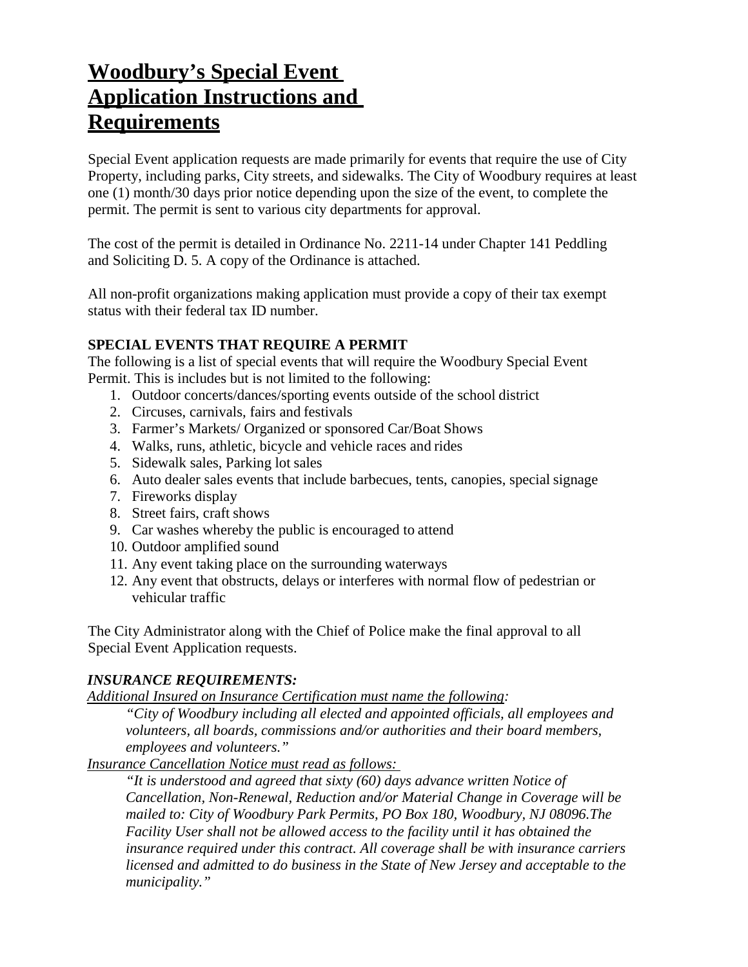# **Woodbury's Special Event Application Instructions and Requirements**

Special Event application requests are made primarily for events that require the use of City Property, including parks, City streets, and sidewalks. The City of Woodbury requires at least one (1) month/30 days prior notice depending upon the size of the event, to complete the permit. The permit is sent to various city departments for approval.

The cost of the permit is detailed in Ordinance No. 2211-14 under Chapter 141 Peddling and Soliciting D. 5. A copy of the Ordinance is attached.

All non-profit organizations making application must provide a copy of their tax exempt status with their federal tax ID number.

## **SPECIAL EVENTS THAT REQUIRE A PERMIT**

The following is a list of special events that will require the Woodbury Special Event Permit. This is includes but is not limited to the following:

- 1. Outdoor concerts/dances/sporting events outside of the school district
- 2. Circuses, carnivals, fairs and festivals
- 3. Farmer's Markets/ Organized or sponsored Car/Boat Shows
- 4. Walks, runs, athletic, bicycle and vehicle races and rides
- 5. Sidewalk sales, Parking lot sales
- 6. Auto dealer sales events that include barbecues, tents, canopies, special signage
- 7. Fireworks display
- 8. Street fairs, craft shows
- 9. Car washes whereby the public is encouraged to attend
- 10. Outdoor amplified sound
- 11. Any event taking place on the surrounding waterways
- 12. Any event that obstructs, delays or interferes with normal flow of pedestrian or vehicular traffic

The City Administrator along with the Chief of Police make the final approval to all Special Event Application requests.

## *INSURANCE REQUIREMENTS:*

*Additional Insured on Insurance Certification must name the following:* 

*"City of Woodbury including all elected and appointed officials, all employees and volunteers, all boards, commissions and/or authorities and their board members, employees and volunteers."* 

*Insurance Cancellation Notice must read as follows:* 

*"It is understood and agreed that sixty (60) days advance written Notice of Cancellation, Non-Renewal, Reduction and/or Material Change in Coverage will be mailed to: City of Woodbury Park Permits, PO Box 180, Woodbury, NJ 08096.The Facility User shall not be allowed access to the facility until it has obtained the insurance required under this contract. All coverage shall be with insurance carriers licensed and admitted to do business in the State of New Jersey and acceptable to the municipality."*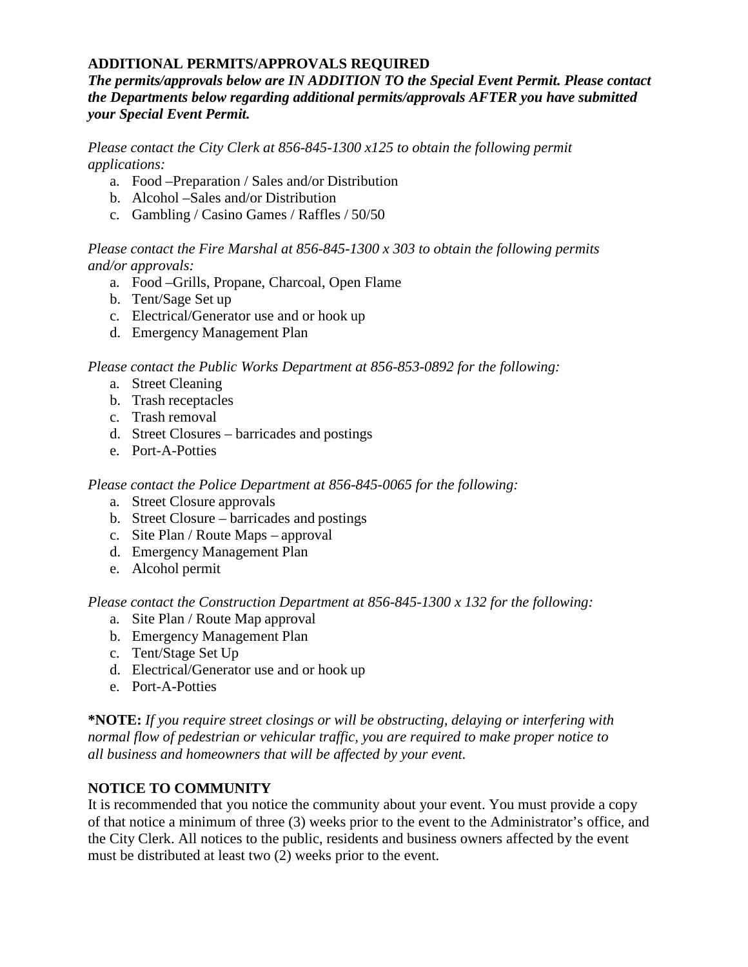## **ADDITIONAL PERMITS/APPROVALS REQUIRED**

*The permits/approvals below are IN ADDITION TO the Special Event Permit. Please contact the Departments below regarding additional permits/approvals AFTER you have submitted your Special Event Permit.* 

*Please contact the City Clerk at 856-845-1300 x125 to obtain the following permit applications:* 

- a. Food –Preparation / Sales and/or Distribution
- b. Alcohol –Sales and/or Distribution
- c. Gambling / Casino Games / Raffles / 50/50

*Please contact the Fire Marshal at 856-845-1300 x 303 to obtain the following permits and/or approvals:* 

- a. Food –Grills, Propane, Charcoal, Open Flame
- b. Tent/Sage Set up
- c. Electrical/Generator use and or hook up
- d. Emergency Management Plan

*Please contact the Public Works Department at 856-853-0892 for the following:* 

- a. Street Cleaning
- b. Trash receptacles
- c. Trash removal
- d. Street Closures barricades and postings
- e. Port-A-Potties

## *Please contact the Police Department at 856-845-0065 for the following:*

- a. Street Closure approvals
- b. Street Closure barricades and postings
- c. Site Plan / Route Maps approval
- d. Emergency Management Plan
- e. Alcohol permit

*Please contact the Construction Department at 856-845-1300 x 132 for the following:* 

- a. Site Plan / Route Map approval
- b. Emergency Management Plan
- c. Tent/Stage Set Up
- d. Electrical/Generator use and or hook up
- e. Port-A-Potties

**\*NOTE:** *If you require street closings or will be obstructing, delaying or interfering with normal flow of pedestrian or vehicular traffic, you are required to make proper notice to all business and homeowners that will be affected by your event.*

# **NOTICE TO COMMUNITY**

It is recommended that you notice the community about your event. You must provide a copy of that notice a minimum of three (3) weeks prior to the event to the Administrator's office, and the City Clerk. All notices to the public, residents and business owners affected by the event must be distributed at least two (2) weeks prior to the event.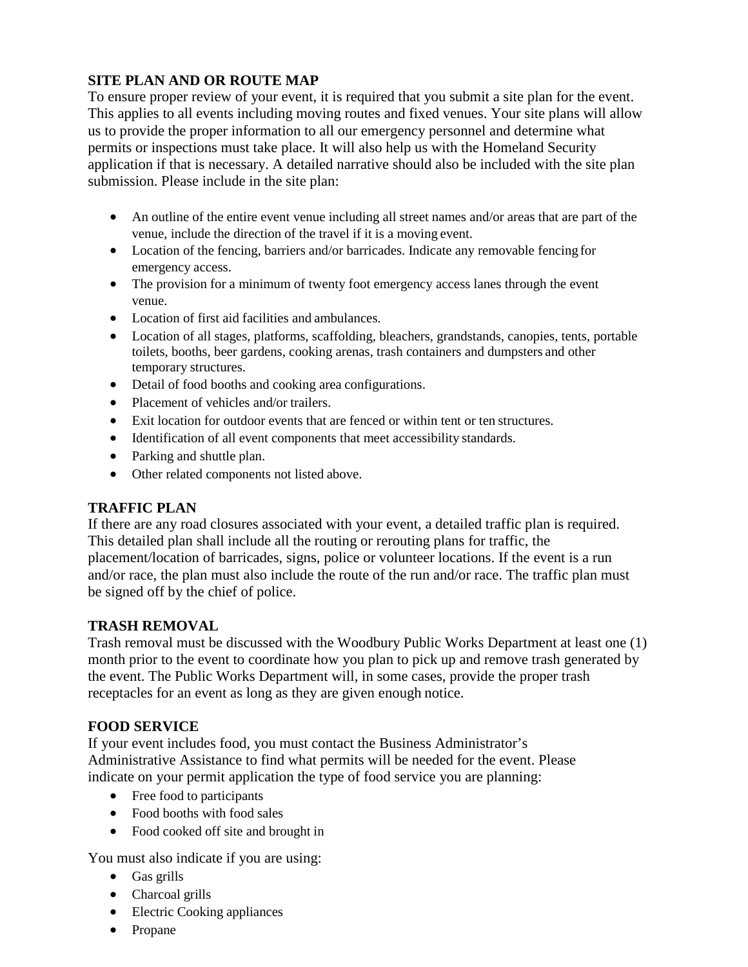# **SITE PLAN AND OR ROUTE MAP**

To ensure proper review of your event, it is required that you submit a site plan for the event. This applies to all events including moving routes and fixed venues. Your site plans will allow us to provide the proper information to all our emergency personnel and determine what permits or inspections must take place. It will also help us with the Homeland Security application if that is necessary. A detailed narrative should also be included with the site plan submission. Please include in the site plan:

- An outline of the entire event venue including all street names and/or areas that are part of the venue, include the direction of the travel if it is a moving event.
- Location of the fencing, barriers and/or barricades. Indicate any removable fencing for emergency access.
- The provision for a minimum of twenty foot emergency access lanes through the event venue.
- Location of first aid facilities and ambulances.
- Location of all stages, platforms, scaffolding, bleachers, grandstands, canopies, tents, portable toilets, booths, beer gardens, cooking arenas, trash containers and dumpsters and other temporary structures.
- Detail of food booths and cooking area configurations.
- Placement of vehicles and/or trailers.
- Exit location for outdoor events that are fenced or within tent or ten structures.
- Identification of all event components that meet accessibility standards.
- Parking and shuttle plan.
- Other related components not listed above.

## **TRAFFIC PLAN**

If there are any road closures associated with your event, a detailed traffic plan is required. This detailed plan shall include all the routing or rerouting plans for traffic, the placement/location of barricades, signs, police or volunteer locations. If the event is a run and/or race, the plan must also include the route of the run and/or race. The traffic plan must be signed off by the chief of police.

# **TRASH REMOVAL**

Trash removal must be discussed with the Woodbury Public Works Department at least one (1) month prior to the event to coordinate how you plan to pick up and remove trash generated by the event. The Public Works Department will, in some cases, provide the proper trash receptacles for an event as long as they are given enough notice.

# **FOOD SERVICE**

If your event includes food, you must contact the Business Administrator's Administrative Assistance to find what permits will be needed for the event. Please indicate on your permit application the type of food service you are planning:

- Free food to participants
- Food booths with food sales
- Food cooked off site and brought in

You must also indicate if you are using:

- Gas grills
- Charcoal grills
- Electric Cooking appliances
- Propane